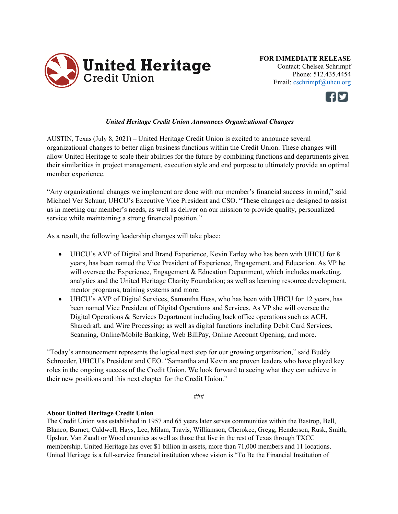

**FOR IMMEDIATE RELEASE**  Contact: Chelsea Schrimpf Phone: 512.435.4454 Email: cschrimpf@uhcu.org



## *United Heritage Credit Union Announces Organizational Changes*

AUSTIN, Texas (July 8, 2021) – United Heritage Credit Union is excited to announce several organizational changes to better align business functions within the Credit Union. These changes will allow United Heritage to scale their abilities for the future by combining functions and departments given their similarities in project management, execution style and end purpose to ultimately provide an optimal member experience.

"Any organizational changes we implement are done with our member's financial success in mind," said Michael Ver Schuur, UHCU's Executive Vice President and CSO. "These changes are designed to assist us in meeting our member's needs, as well as deliver on our mission to provide quality, personalized service while maintaining a strong financial position."

As a result, the following leadership changes will take place:

- UHCU's AVP of Digital and Brand Experience, Kevin Farley who has been with UHCU for 8 years, has been named the Vice President of Experience, Engagement, and Education. As VP he will oversee the Experience, Engagement & Education Department, which includes marketing, analytics and the United Heritage Charity Foundation; as well as learning resource development, mentor programs, training systems and more.
- UHCU's AVP of Digital Services, Samantha Hess, who has been with UHCU for 12 years, has been named Vice President of Digital Operations and Services. As VP she will oversee the Digital Operations & Services Department including back office operations such as ACH, Sharedraft, and Wire Processing; as well as digital functions including Debit Card Services, Scanning, Online/Mobile Banking, Web BillPay, Online Account Opening, and more.

"Today's announcement represents the logical next step for our growing organization," said Buddy Schroeder, UHCU's President and CEO. "Samantha and Kevin are proven leaders who have played key roles in the ongoing success of the Credit Union. We look forward to seeing what they can achieve in their new positions and this next chapter for the Credit Union."

###

## **About United Heritage Credit Union**

The Credit Union was established in 1957 and 65 years later serves communities within the Bastrop, Bell, Blanco, Burnet, Caldwell, Hays, Lee, Milam, Travis, Williamson, Cherokee, Gregg, Henderson, Rusk, Smith, Upshur, Van Zandt or Wood counties as well as those that live in the rest of Texas through TXCC membership. United Heritage has over \$1 billion in assets, more than 71,000 members and 11 locations. United Heritage is a full-service financial institution whose vision is "To Be the Financial Institution of